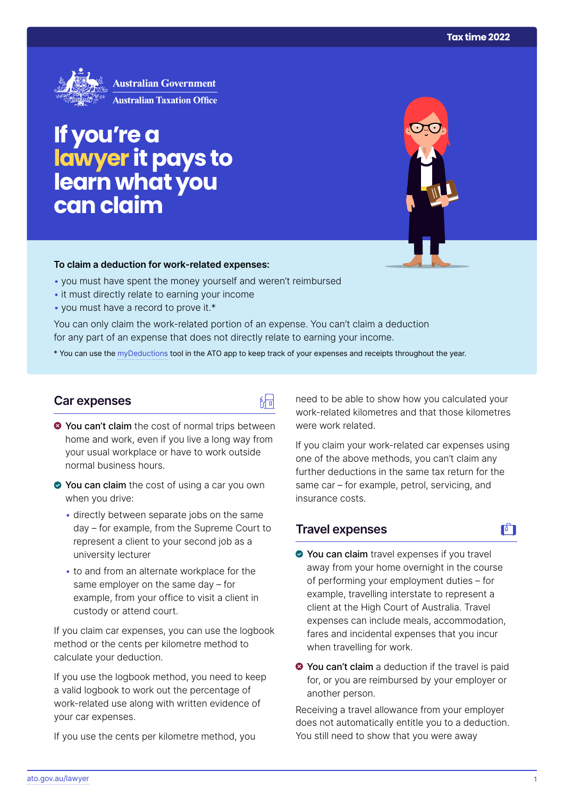

# **If you're a lawyer it pays to learn what you can claim**

#### **To claim a deduction for work‑related expenses:**

- you must have spent the money yourself and weren't reimbursed
- it must directly relate to earning your income
- you must have a record to prove it.\*

You can only claim the work-related portion of an expense. You can't claim a deduction for any part of an expense that does not directly relate to earning your income.

\* You can use the [myDeductions](https://ato.gov.au/mydeductions) tool in the ATO app to keep track of your expenses and receipts throughout the year.

陆

## **Car expenses**

- $\bullet$  You can't claim the cost of normal trips between home and work, even if you live a long way from your usual workplace or have to work outside normal business hours.
- ◆ You can claim the cost of using a car you own when you drive:
	- directly between separate jobs on the same day – for example, from the Supreme Court to represent a client to your second job as a university lecturer
	- to and from an alternate workplace for the same employer on the same day – for example, from your office to visit a client in custody or attend court.

If you claim car expenses, you can use the logbook method or the cents per kilometre method to calculate your deduction.

If you use the logbook method, you need to keep a valid logbook to work out the percentage of work-related use along with written evidence of your car expenses.

If you use the cents per kilometre method, you

need to be able to show how you calculated your work-related kilometres and that those kilometres were work related.

If you claim your work-related car expenses using one of the above methods, you can't claim any further deductions in the same tax return for the same car – for example, petrol, servicing, and insurance costs.

# **Travel expenses**

- $\mathbf{F}$
- ◆ You can claim travel expenses if you travel away from your home overnight in the course of performing your employment duties – for example, travelling interstate to represent a client at the High Court of Australia. Travel expenses can include meals, accommodation, fares and incidental expenses that you incur when travelling for work.
- **◆ You can't claim** a deduction if the travel is paid for, or you are reimbursed by your employer or another person.

Receiving a travel allowance from your employer does not automatically entitle you to a deduction. You still need to show that you were away